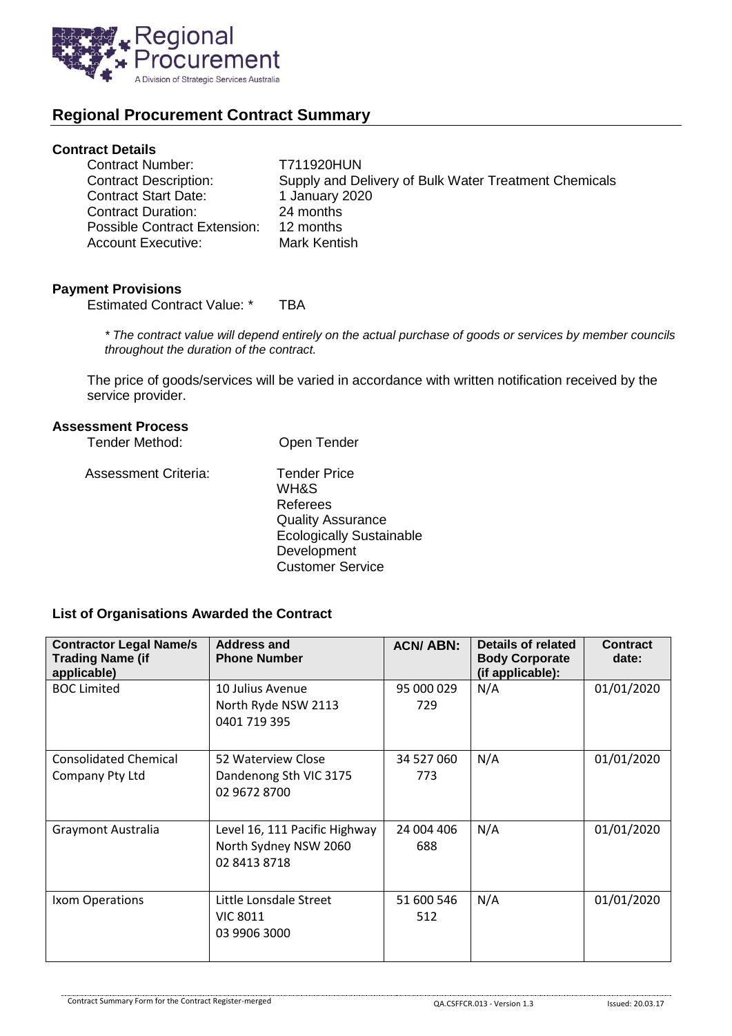

# **Regional Procurement Contract Summary**

## **Contract Details**

| <b>Contract Number:</b>      | T711920HUN                                            |
|------------------------------|-------------------------------------------------------|
| <b>Contract Description:</b> | Supply and Delivery of Bulk Water Treatment Chemicals |
| <b>Contract Start Date:</b>  | 1 January 2020                                        |
| <b>Contract Duration:</b>    | 24 months                                             |
| Possible Contract Extension: | 12 months                                             |
| <b>Account Executive:</b>    | Mark Kentish                                          |

#### **Payment Provisions**

Estimated Contract Value: \* TBA

*\* The contract value will depend entirely on the actual purchase of goods or services by member councils throughout the duration of the contract.*

The price of goods/services will be varied in accordance with written notification received by the service provider.

### **Assessment Process**

| <b>Tender Method:</b> | Open Tender                                                                                                                                      |
|-----------------------|--------------------------------------------------------------------------------------------------------------------------------------------------|
| Assessment Criteria:  | <b>Tender Price</b><br>WH&S<br>Referees<br><b>Quality Assurance</b><br><b>Ecologically Sustainable</b><br>Development<br><b>Customer Service</b> |

#### **List of Organisations Awarded the Contract**

| <b>Contractor Legal Name/s</b><br><b>Trading Name (if</b><br>applicable) | <b>Address and</b><br><b>Phone Number</b>                              | <b>ACN/ABN:</b>   | Details of related<br><b>Body Corporate</b><br>(if applicable): | <b>Contract</b><br>date: |
|--------------------------------------------------------------------------|------------------------------------------------------------------------|-------------------|-----------------------------------------------------------------|--------------------------|
| <b>BOC Limited</b>                                                       | 10 Julius Avenue<br>North Ryde NSW 2113<br>0401 719 395                | 95 000 029<br>729 | N/A                                                             | 01/01/2020               |
| <b>Consolidated Chemical</b><br>Company Pty Ltd                          | 52 Waterview Close<br>Dandenong Sth VIC 3175<br>02 9672 8700           | 34 527 060<br>773 | N/A                                                             | 01/01/2020               |
| <b>Graymont Australia</b>                                                | Level 16, 111 Pacific Highway<br>North Sydney NSW 2060<br>02 8413 8718 | 24 004 406<br>688 | N/A                                                             | 01/01/2020               |
| Ixom Operations                                                          | Little Lonsdale Street<br><b>VIC 8011</b><br>03 9906 3000              | 51 600 546<br>512 | N/A                                                             | 01/01/2020               |